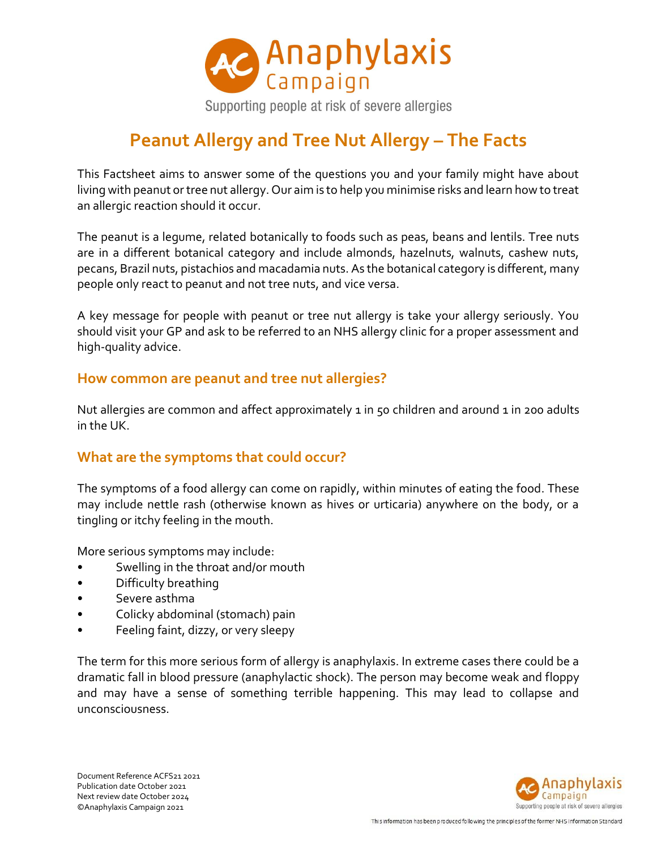

# **Peanut Allergy and Tree Nut Allergy – The Facts**

This Factsheet aims to answer some of the questions you and your family might have about living with peanut or tree nut allergy. Our aim is to help you minimise risks and learn how to treat an allergic reaction should it occur.

The peanut is a legume, related botanically to foods such as peas, beans and lentils. Tree nuts are in a different botanical category and include almonds, hazelnuts, walnuts, cashew nuts, pecans, Brazil nuts, pistachios and macadamia nuts. As the botanical category is different, many people only react to peanut and not tree nuts, and vice versa.

A key message for people with peanut or tree nut allergy is take your allergy seriously. You should visit your GP and ask to be referred to an NHS allergy clinic for a proper assessment and high-quality advice.

#### **How common are peanut and tree nut allergies?**

Nut allergies are common and affect approximately 1 in 50 children and around 1 in 200 adults in the UK.

## **What are the symptoms that could occur?**

The symptoms of a food allergy can come on rapidly, within minutes of eating the food. These may include nettle rash (otherwise known as hives or urticaria) anywhere on the body, or a tingling or itchy feeling in the mouth.

More serious symptoms may include:

- Swelling in the throat and/or mouth
- Difficulty breathing
- Severe asthma
- Colicky abdominal (stomach) pain
- Feeling faint, dizzy, or very sleepy

The term for this more serious form of allergy is anaphylaxis. In extreme cases there could be a dramatic fall in blood pressure (anaphylactic shock). The person may become weak and floppy and may have a sense of something terrible happening. This may lead to collapse and unconsciousness.

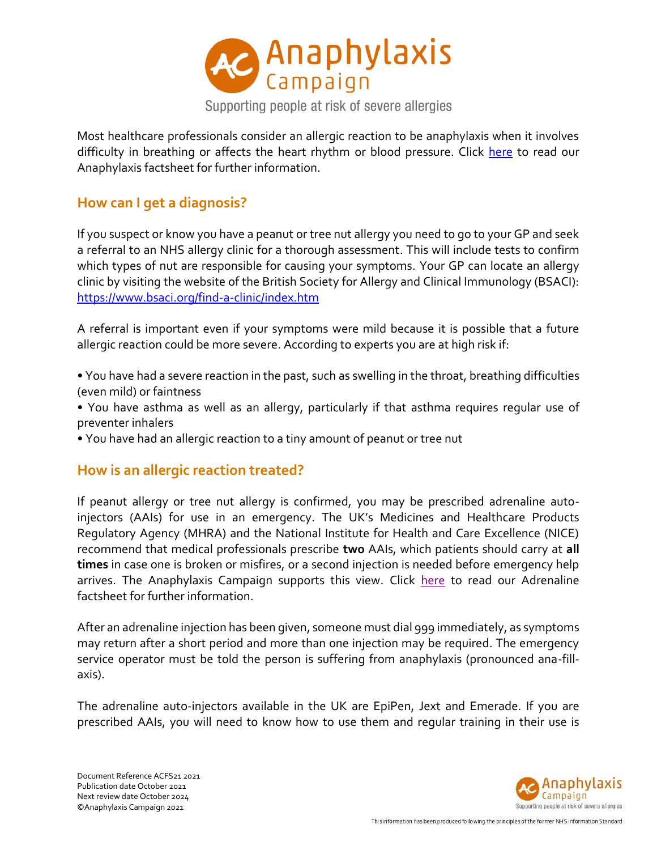

Most healthcare professionals consider an allergic reaction to be anaphylaxis when it involves difficulty in breathing or affects the heart rhythm or blood pressure. Click [here](https://www.anaphylaxis.org.uk/information-training/our-factsheets/) to read our Anaphylaxis factsheet for further information.

## **How can I get a diagnosis?**

If you suspect or know you have a peanut or tree nut allergy you need to go to your GP and seek a referral to an NHS allergy clinic for a thorough assessment. This will include tests to confirm which types of nut are responsible for causing your symptoms. Your GP can locate an allergy clinic by visiting the website of the British Society for Allergy and Clinical Immunology (BSACI): <https://www.bsaci.org/find-a-clinic/index.htm>

A referral is important even if your symptoms were mild because it is possible that a future allergic reaction could be more severe. According to experts you are at high risk if:

• You have had a severe reaction in the past, such as swelling in the throat, breathing difficulties (even mild) or faintness

• You have asthma as well as an allergy, particularly if that asthma requires regular use of preventer inhalers

• You have had an allergic reaction to a tiny amount of peanut or tree nut

## **How is an allergic reaction treated?**

If peanut allergy or tree nut allergy is confirmed, you may be prescribed adrenaline autoinjectors (AAIs) for use in an emergency. The UK's Medicines and Healthcare Products Regulatory Agency (MHRA) and the National Institute for Health and Care Excellence (NICE) recommend that medical professionals prescribe **two** AAIs, which patients should carry at **all times** in case one is broken or misfires, or a second injection is needed before emergency help arrives. The Anaphylaxis Campaign supports this view. Click [here](https://www.anaphylaxis.org.uk/information-training/our-factsheets/) to read our Adrenaline factsheet for further information.

After an adrenaline injection has been given, someone must dial 999 immediately, as symptoms may return after a short period and more than one injection may be required. The emergency service operator must be told the person is suffering from anaphylaxis (pronounced ana-fillaxis).

The adrenaline auto-injectors available in the UK are EpiPen, Jext and Emerade. If you are prescribed AAIs, you will need to know how to use them and regular training in their use is

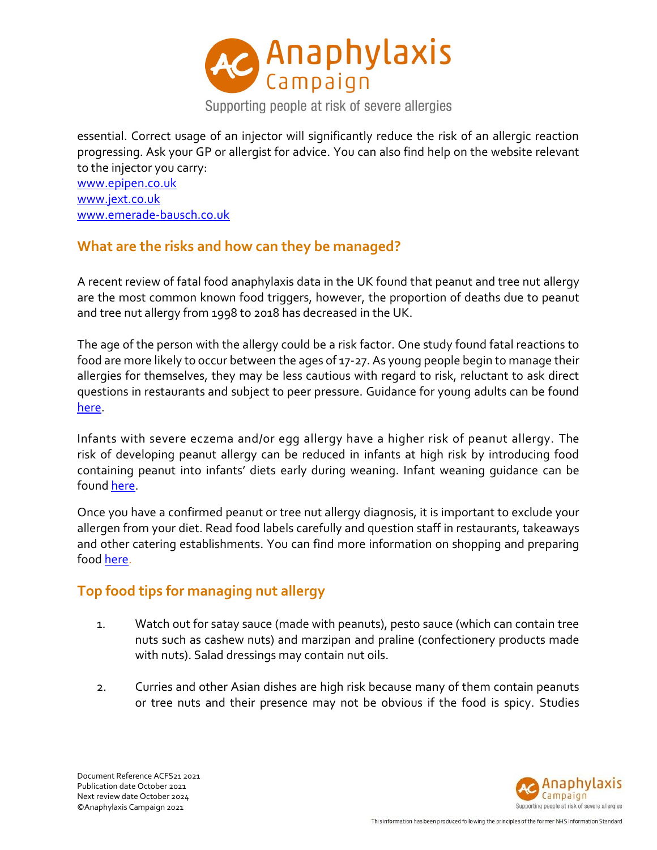

essential. Correct usage of an injector will significantly reduce the risk of an allergic reaction progressing. Ask your GP or allergist for advice. You can also find help on the website relevant to the injector you carry: [www.epipen.co.uk](http://www.epipen.co.uk/)

[www.jext.co.uk](http://www.jext.co.uk/) [www.emerade-bausch.co.uk](http://www.emerade-bausch.co.uk/)

# **What are the risks and how can they be managed?**

A recent review of fatal food anaphylaxis data in the UK found that peanut and tree nut allergy are the most common known food triggers, however, the proportion of deaths due to peanut and tree nut allergy from 1998 to 2018 has decreased in the UK.

The age of the person with the allergy could be a risk factor. One study found fatal reactions to food are more likely to occur between the ages of 17-27. As young people begin to manage their allergies for themselves, they may be less cautious with regard to risk, reluctant to ask direct questions in restaurants and subject to peer pressure. Guidance for young adults can be found [here.](https://www.anaphylaxis.org.uk/campaigning/guidance-for-young-adults/)

Infants with severe eczema and/or egg allergy have a higher risk of peanut allergy. The risk of developing peanut allergy can be reduced in infants at high risk by introducing food containing peanut into infants' diets early during weaning. Infant weaning guidance can be found [here.](https://www.anaphylaxis.org.uk/living-with-anaphylaxis/infant-weaning-guidance/)

Once you have a confirmed peanut or tree nut allergy diagnosis, it is important to exclude your allergen from your diet. Read food labels carefully and question staff in restaurants, takeaways and other catering establishments. You can find more information on shopping and preparing foo[d here.](https://www.anaphylaxis.org.uk/living-with-anaphylaxis/shopping-and-preparing-food/)

# **Top food tips for managing nut allergy**

- 1. Watch out for satay sauce (made with peanuts), pesto sauce (which can contain tree nuts such as cashew nuts) and marzipan and praline (confectionery products made with nuts). Salad dressings may contain nut oils.
- 2. Curries and other Asian dishes are high risk because many of them contain peanuts or tree nuts and their presence may not be obvious if the food is spicy. Studies

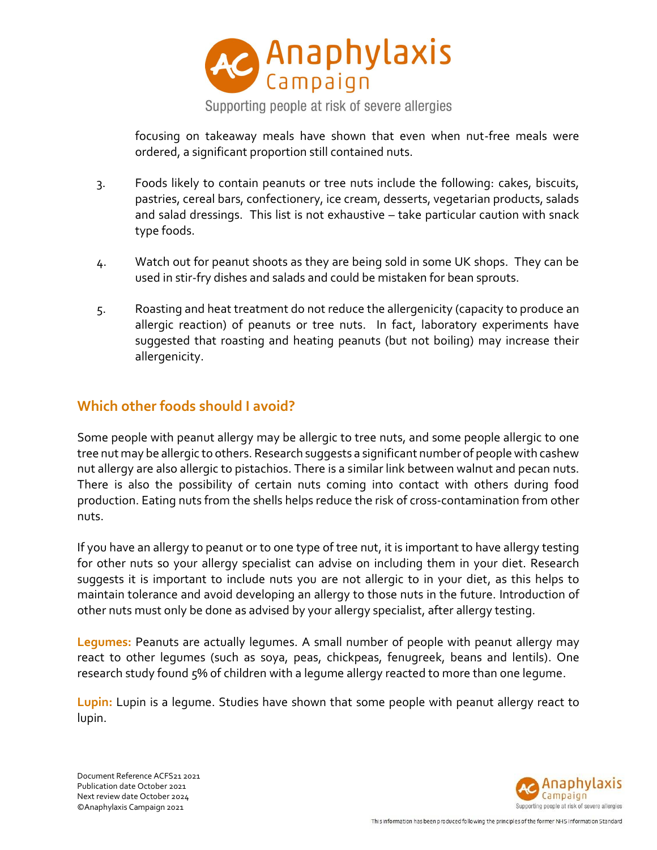

focusing on takeaway meals have shown that even when nut-free meals were ordered, a significant proportion still contained nuts.

- 3. Foods likely to contain peanuts or tree nuts include the following: cakes, biscuits, pastries, cereal bars, confectionery, ice cream, desserts, vegetarian products, salads and salad dressings. This list is not exhaustive – take particular caution with snack type foods.
- 4. Watch out for peanut shoots as they are being sold in some UK shops. They can be used in stir-fry dishes and salads and could be mistaken for bean sprouts.
- 5. Roasting and heat treatment do not reduce the allergenicity (capacity to produce an allergic reaction) of peanuts or tree nuts. In fact, laboratory experiments have suggested that roasting and heating peanuts (but not boiling) may increase their allergenicity.

## **Which other foods should I avoid?**

Some people with peanut allergy may be allergic to tree nuts, and some people allergic to one tree nut may be allergic to others. Research suggests a significant number of people with cashew nut allergy are also allergic to pistachios. There is a similar link between walnut and pecan nuts. There is also the possibility of certain nuts coming into contact with others during food production. Eating nuts from the shells helps reduce the risk of cross-contamination from other nuts.

If you have an allergy to peanut or to one type of tree nut, it is important to have allergy testing for other nuts so your allergy specialist can advise on including them in your diet. Research suggests it is important to include nuts you are not allergic to in your diet, as this helps to maintain tolerance and avoid developing an allergy to those nuts in the future. Introduction of other nuts must only be done as advised by your allergy specialist, after allergy testing.

**Legumes:** Peanuts are actually legumes. A small number of people with peanut allergy may react to other legumes (such as soya, peas, chickpeas, fenugreek, beans and lentils). One research study found 5% of children with a legume allergy reacted to more than one legume.

**Lupin:** Lupin is a legume. Studies have shown that some people with peanut allergy react to lupin.

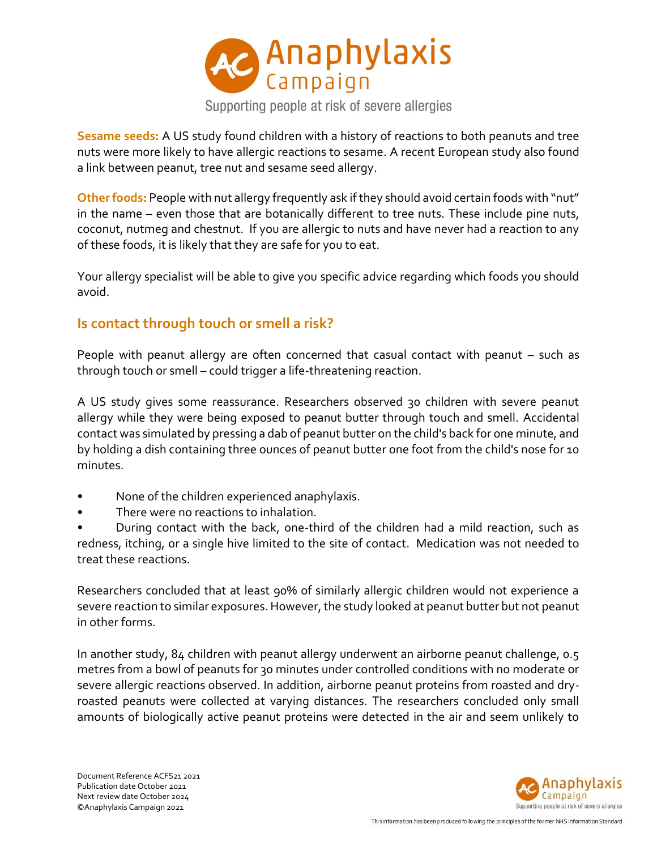

**Sesame seeds:** A US study found children with a history of reactions to both peanuts and tree nuts were more likely to have allergic reactions to sesame. A recent European study also found a link between peanut, tree nut and sesame seed allergy.

**Other foods:** People with nut allergy frequently ask if they should avoid certain foods with "nut" in the name – even those that are botanically different to tree nuts. These include pine nuts, coconut, nutmeg and chestnut. If you are allergic to nuts and have never had a reaction to any of these foods, it is likely that they are safe for you to eat.

Your allergy specialist will be able to give you specific advice regarding which foods you should avoid.

## **Is contact through touch or smell a risk?**

People with peanut allergy are often concerned that casual contact with peanut – such as through touch or smell – could trigger a life-threatening reaction.

A US study gives some reassurance. Researchers observed 30 children with severe peanut allergy while they were being exposed to peanut butter through touch and smell. Accidental contact was simulated by pressing a dab of peanut butter on the child's back for one minute, and by holding a dish containing three ounces of peanut butter one foot from the child's nose for 10 minutes.

- None of the children experienced anaphylaxis.
- There were no reactions to inhalation.

• During contact with the back, one-third of the children had a mild reaction, such as redness, itching, or a single hive limited to the site of contact. Medication was not needed to treat these reactions.

Researchers concluded that at least 90% of similarly allergic children would not experience a severe reaction to similar exposures. However, the study looked at peanut butter but not peanut in other forms.

In another study, 84 children with peanut allergy underwent an airborne peanut challenge, 0.5 metres from a bowl of peanuts for 30 minutes under controlled conditions with no moderate or severe allergic reactions observed. In addition, airborne peanut proteins from roasted and dryroasted peanuts were collected at varying distances. The researchers concluded only small amounts of biologically active peanut proteins were detected in the air and seem unlikely to

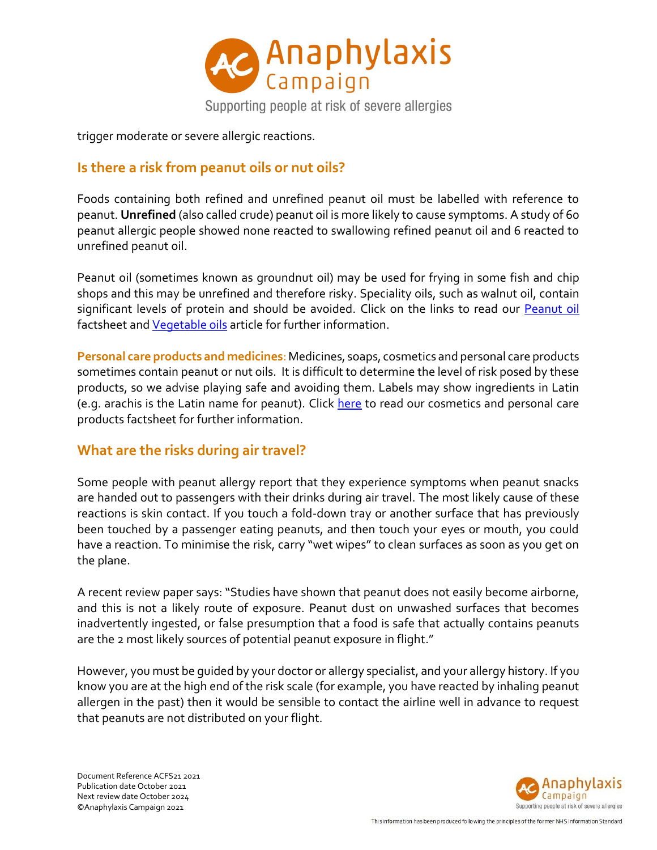

trigger moderate or severe allergic reactions.

# **Is there a risk from peanut oils or nut oils?**

Foods containing both refined and unrefined peanut oil must be labelled with reference to peanut. **Unrefined** (also called crude) peanut oil is more likely to cause symptoms. A study of 60 peanut allergic people showed none reacted to swallowing refined peanut oil and 6 reacted to unrefined peanut oil.

Peanut oil (sometimes known as groundnut oil) may be used for frying in some fish and chip shops and this may be unrefined and therefore risky. Speciality oils, such as walnut oil, contain significant levels of protein and should be avoided. Click on the links to read our [Peanut oil](https://www.anaphylaxis.org.uk/information-training/our-factsheets/) factsheet and [Vegetable oils](https://www.anaphylaxis.org.uk/knowledgebase/vegetable-oils/) article for further information.

**Personal care products and medicines**: Medicines, soaps, cosmetics and personal care products sometimes contain peanut or nut oils. It is difficult to determine the level of risk posed by these products, so we advise playing safe and avoiding them. Labels may show ingredients in Latin (e.g. arachis is the Latin name for peanut). Click [here](https://www.anaphylaxis.org.uk/information-training/our-factsheets/) to read our cosmetics and personal care products factsheet for further information.

## **What are the risks during air travel?**

Some people with peanut allergy report that they experience symptoms when peanut snacks are handed out to passengers with their drinks during air travel. The most likely cause of these reactions is skin contact. If you touch a fold-down tray or another surface that has previously been touched by a passenger eating peanuts, and then touch your eyes or mouth, you could have a reaction. To minimise the risk, carry "wet wipes" to clean surfaces as soon as you get on the plane.

A recent review paper says: "Studies have shown that peanut does not easily become airborne, and this is not a likely route of exposure. Peanut dust on unwashed surfaces that becomes inadvertently ingested, or false presumption that a food is safe that actually contains peanuts are the 2 most likely sources of potential peanut exposure in flight."

However, you must be guided by your doctor or allergy specialist, and your allergy history. If you know you are at the high end of the risk scale (for example, you have reacted by inhaling peanut allergen in the past) then it would be sensible to contact the airline well in advance to request that peanuts are not distributed on your flight.

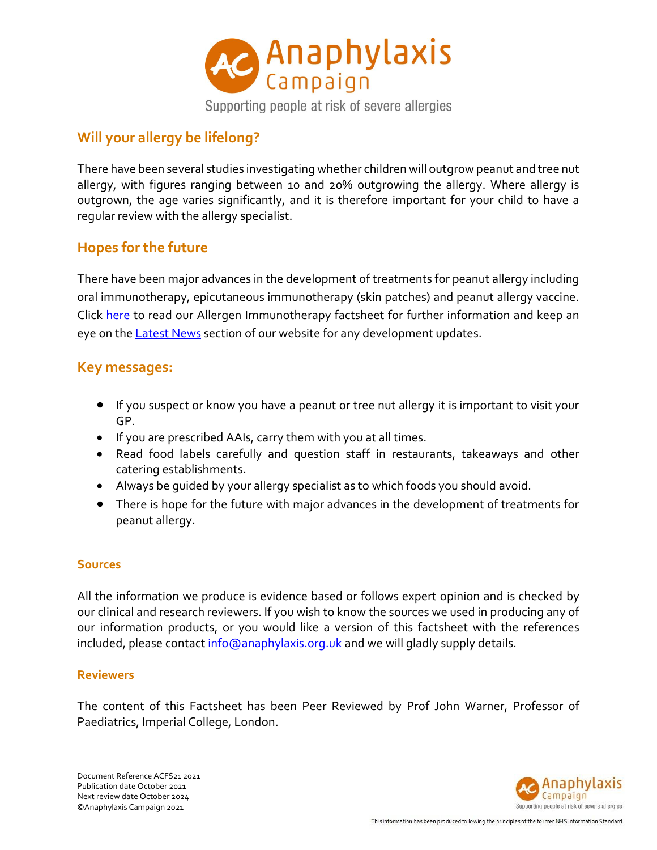

# **Will your allergy be lifelong?**

There have been several studies investigating whether children will outgrow peanut and tree nut allergy, with figures ranging between 10 and 20% outgrowing the allergy. Where allergy is outgrown, the age varies significantly, and it is therefore important for your child to have a regular review with the allergy specialist.

# **Hopes for the future**

There have been major advances in the development of treatments for peanut allergy including oral immunotherapy, epicutaneous immunotherapy (skin patches) and peanut allergy vaccine. Click [here](https://www.anaphylaxis.org.uk/information-training/our-factsheets/) to read our Allergen Immunotherapy factsheet for further information and keep an eye on the **[Latest News](https://www.anaphylaxis.org.uk/media-centre/latest-news/)** section of our website for any development updates.

#### **Key messages:**

- If you suspect or know you have a peanut or tree nut allergy it is important to visit your GP.
- If you are prescribed AAIs, carry them with you at all times.
- Read food labels carefully and question staff in restaurants, takeaways and other catering establishments.
- Always be guided by your allergy specialist as to which foods you should avoid.
- There is hope for the future with major advances in the development of treatments for peanut allergy.

#### **Sources**

All the information we produce is evidence based or follows expert opinion and is checked by our clinical and research reviewers. If you wish to know the sources we used in producing any of our information products, or you would like a version of this factsheet with the references included, please contact [info@anaphylaxis.org.uk](mailto:info@anaphylaxis.org.uk) and we will gladly supply details.

#### **Reviewers**

The content of this Factsheet has been Peer Reviewed by Prof John Warner, Professor of Paediatrics, Imperial College, London.